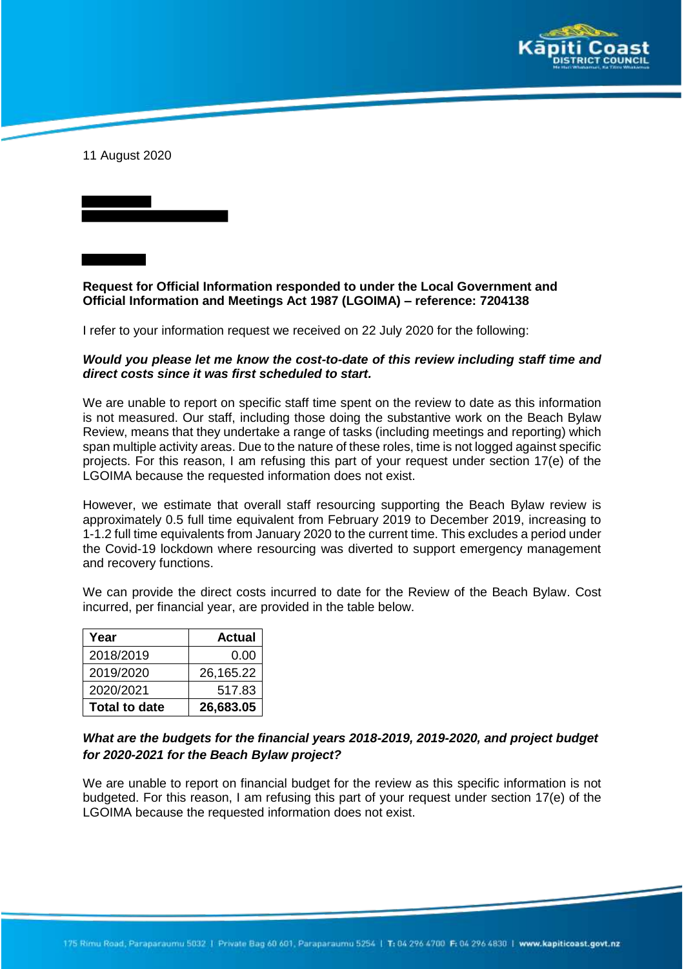

11 August 2020

**Request for Official Information responded to under the Local Government and Official Information and Meetings Act 1987 (LGOIMA) – reference: 7204138**

I refer to your information request we received on 22 July 2020 for the following:

## *Would you please let me know the cost-to-date of this review including staff time and direct costs since it was first scheduled to start.*

We are unable to report on specific staff time spent on the review to date as this information is not measured. Our staff, including those doing the substantive work on the Beach Bylaw Review, means that they undertake a range of tasks (including meetings and reporting) which span multiple activity areas. Due to the nature of these roles, time is not logged against specific projects. For this reason, I am refusing this part of your request under section 17(e) of the LGOIMA because the requested information does not exist.

However, we estimate that overall staff resourcing supporting the Beach Bylaw review is approximately 0.5 full time equivalent from February 2019 to December 2019, increasing to 1-1.2 full time equivalents from January 2020 to the current time. This excludes a period under the Covid-19 lockdown where resourcing was diverted to support emergency management and recovery functions.

We can provide the direct costs incurred to date for the Review of the Beach Bylaw. Cost incurred, per financial year, are provided in the table below.

| Year                 | <b>Actual</b> |
|----------------------|---------------|
| 2018/2019            | 0.00          |
| 2019/2020            | 26,165.22     |
| 2020/2021            | 517.83        |
| <b>Total to date</b> | 26,683.05     |

## *What are the budgets for the financial years 2018-2019, 2019-2020, and project budget for 2020-2021 for the Beach Bylaw project?*

We are unable to report on financial budget for the review as this specific information is not budgeted. For this reason, I am refusing this part of your request under section 17(e) of the LGOIMA because the requested information does not exist.